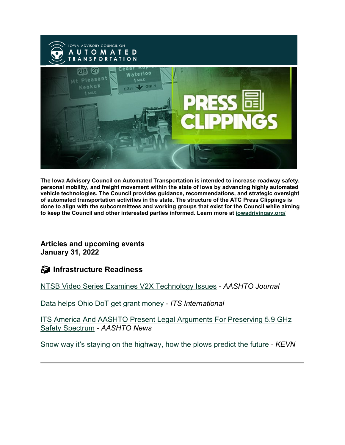

**The Iowa Advisory Council on Automated Transportation is intended to increase roadway safety, personal mobility, and freight movement within the state of Iowa by advancing highly automated vehicle technologies. The Council provides guidance, recommendations, and strategic oversight of automated transportation activities in the state. The structure of the ATC Press Clippings is done to align with the subcommittees and working groups that exist for the Council while aiming to keep the Council and other interested parties informed. Learn more at [iowadrivingav.org/](https://iowadrivingav.org/?utm_medium=email&utm_source=govdelivery)**

**Articles and upcoming events January 31, 2022**

**Infrastructure Readiness**

[NTSB Video Series Examines V2X Technology Issues](https://aashtojournal.org/2022/01/21/ntsb-video-series-examines-v2x-technology-issues/?utm_medium=email&utm_source=govdelivery) - *AASHTO Journal*

[Data helps Ohio DoT get grant money](https://www.itsinternational.com/feature/data-helps-ohio-dot-get-grant-money?utm_medium=email&utm_source=govdelivery) - *ITS International*

[ITS America And AASHTO Present Legal Arguments For Preserving 5.9 GHz](http://aashtonews.wpengine.com/2022/01/25/its-america-and-aashto-present-legal-arguments-for-preserving-5-9-ghz-safety-spectrum/?utm_medium=email&utm_source=govdelivery)  [Safety Spectrum](http://aashtonews.wpengine.com/2022/01/25/its-america-and-aashto-present-legal-arguments-for-preserving-5-9-ghz-safety-spectrum/?utm_medium=email&utm_source=govdelivery) *- AASHTO News*

[Snow way it's staying on the highway, how the plows predict the future](https://www.blackhillsfox.com/2022/01/20/snow-way-its-staying-highway-how-plows-predict-future/?utm_medium=email&utm_source=govdelivery) *- KEVN*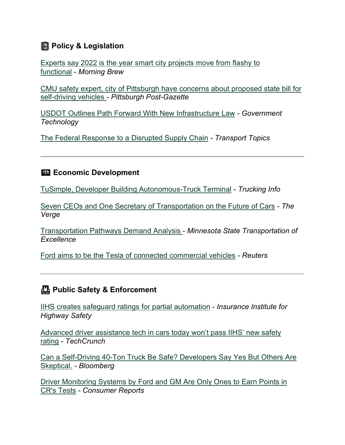## **Policy & Legislation**

[Experts say 2022 is the year smart city projects move from flashy to](https://www.morningbrew.com/emerging-tech/stories/2022/01/21/experts-say-2022-is-the-year-smart-city-projects-move-from-flashy-to-functional?utm_medium=email&utm_source=govdelivery)  [functional](https://www.morningbrew.com/emerging-tech/stories/2022/01/21/experts-say-2022-is-the-year-smart-city-projects-move-from-flashy-to-functional?utm_medium=email&utm_source=govdelivery) - *Morning Brew*

[CMU safety expert, city of Pittsburgh have concerns about proposed state bill for](https://www.post-gazette.com/news/transportation/2022/01/20/CMU-professor-Philip-Koopman-self-driving-vehicles-safety-driver-Senate-Bill-965-Pittsburgh-Department-of-Mobility-and-Infrastructure/stories/202201190132?utm_medium=email&utm_source=govdelivery)  [self-driving vehicles](https://www.post-gazette.com/news/transportation/2022/01/20/CMU-professor-Philip-Koopman-self-driving-vehicles-safety-driver-Senate-Bill-965-Pittsburgh-Department-of-Mobility-and-Infrastructure/stories/202201190132?utm_medium=email&utm_source=govdelivery) *- Pittsburgh Post-Gazette*

[USDOT Outlines Path Forward With New Infrastructure Law](https://www.govtech.com/fs/usdot-outlines-path-forward-with-new-infrastructure-law?utm_medium=email&utm_source=govdelivery) *- Government Technology*

[The Federal Response to a Disrupted Supply Chain](https://www.ttnews.com/newsmakers/federal-response-to-disrupted-supply-chain?utm_medium=email&utm_source=govdelivery) *- Transport Topics*

#### **Example 2** Economic Development

[TuSimple, Developer Building Autonomous-Truck Terminal](https://www.truckinginfo.com/10160246/tusimple-developer-building-autonomous-truck-terminal?utm_medium=email&utm_source=govdelivery) - *Trucking Info*

[Seven CEOs and One Secretary of Transportation on the Future of Cars](https://www.theverge.com/2022/1/25/22898999/decoder-podcast-ford-waymo-volkswagen-jeep-tesla-autonomous-driving-ceo?utm_medium=email&utm_source=govdelivery) *- The Verge*

[Transportation Pathways Demand Analysis](https://www.minntran.org/wp-content/uploads/2022/01/Transportation_Demand-Analysis_2021.pdf?utm_medium=email&utm_source=govdelivery) - *Minnesota State Transportation of Excellence*

[Ford aims to be the Tesla of connected commercial vehicles](https://wtvbam.com/2022/01/25/ford-aims-to-be-the-tesla-of-connected-commercial-vehicles/?utm_medium=email&utm_source=govdelivery) *- Reuters*

### **Public Safety & Enforcement**

[IIHS creates safeguard ratings for partial automation](https://www.iihs.org/news/detail/iihs-creates-safeguard-ratings-for-partial-automation?utm_medium=email&utm_source=govdelivery) - *Insurance Institute for Highway Safety*

[Advanced driver assistance tech in cars today won't pass IIHS' new safety](https://techcrunch.com/2022/01/20/advanced-driver-assistance-tech-in-cars-today-wont-pass-iihs-new-safety-rating/?utm_medium=email&utm_source=govdelivery)  [rating](https://techcrunch.com/2022/01/20/advanced-driver-assistance-tech-in-cars-today-wont-pass-iihs-new-safety-rating/?utm_medium=email&utm_source=govdelivery) - *TechCrunch*

[Can a Self-Driving 40-Ton Truck Be Safe? Developers Say Yes But Others Are](https://www.insurancejournal.com/news/national/2022/01/10/648703.htm?utm_medium=email&utm_source=govdelivery)  [Skeptical.](https://www.insurancejournal.com/news/national/2022/01/10/648703.htm?utm_medium=email&utm_source=govdelivery) *- Bloomberg*

[Driver Monitoring Systems by Ford and GM Are Only Ones to Earn Points in](https://www.consumerreports.org/car-safety/driver-monitoring-systems-ford-gm-earn-points-in-cr-tests-a6530426322/?utm_medium=email&utm_source=govdelivery)  [CR's Tests](https://www.consumerreports.org/car-safety/driver-monitoring-systems-ford-gm-earn-points-in-cr-tests-a6530426322/?utm_medium=email&utm_source=govdelivery) *- Consumer Reports*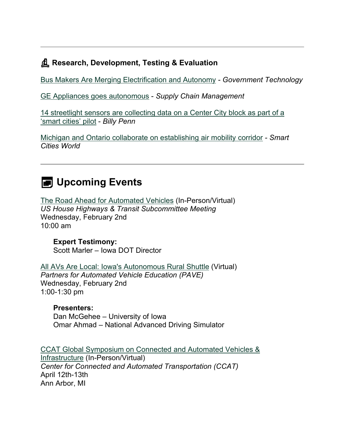### **Research, Development, Testing & Evaluation**

[Bus Makers Are Merging Electrification and Autonomy](https://www.govtech.com/fs/bus-makers-are-merging-electrification-and-autonomy?utm_medium=email&utm_source=govdelivery) *- Government Technology*

[GE Appliances goes autonomous](https://www.scmr.com/article/ge_appliances_goes_autonomous?utm_medium=email&utm_source=govdelivery) - *Supply Chain Management*

[14 streetlight sensors are collecting data on a Center City block as part of a](https://billypenn.com/2022/01/20/philadelphia-smartblock-smart-cities-streetlight-sensors-surveilance/?utm_medium=email&utm_source=govdelivery)  ['smart cities' pilot](https://billypenn.com/2022/01/20/philadelphia-smartblock-smart-cities-streetlight-sensors-surveilance/?utm_medium=email&utm_source=govdelivery) - *Billy Penn*

[Michigan and Ontario collaborate on establishing air mobility corridor](https://www.smartcitiesworld.net/logistics/michigan-and-ontario-collaborate-on-establishing-air-mobility-corridor-7325?utm_medium=email&utm_source=govdelivery) *- Smart Cities World*

# **EXED** Upcoming Events

[The Road Ahead for Automated Vehicles](https://transportation.house.gov/committee-activity/hearings/the-road-ahead-for-automated-vehicles?utm_medium=email&utm_source=govdelivery) (In-Person/Virtual) *US House Highways & Transit Subcommittee Meeting* Wednesday, February 2nd 10:00 am

**Expert Testimony:** Scott Marler – Iowa DOT Director

[All AVs Are Local: Iowa's Autonomous Rural Shuttle](https://pavecampaign.org/event/iowa-autonomous-rural-shuttle/?utm_medium=email&utm_source=govdelivery) (Virtual) *Partners for Automated Vehicle Education (PAVE)* Wednesday, February 2nd 1:00-1:30 pm

#### **Presenters:**

Dan McGehee – University of Iowa Omar Ahmad – National Advanced Driving Simulator

[CCAT Global Symposium on Connected and Automated Vehicles &](https://ccat.umtri.umich.edu/symposium/?utm_medium=email&utm_source=govdelivery)  [Infrastructure](https://ccat.umtri.umich.edu/symposium/?utm_medium=email&utm_source=govdelivery) (In-Person/Virtual) *Center for Connected and Automated Transportation (CCAT)* April 12th-13th Ann Arbor, MI